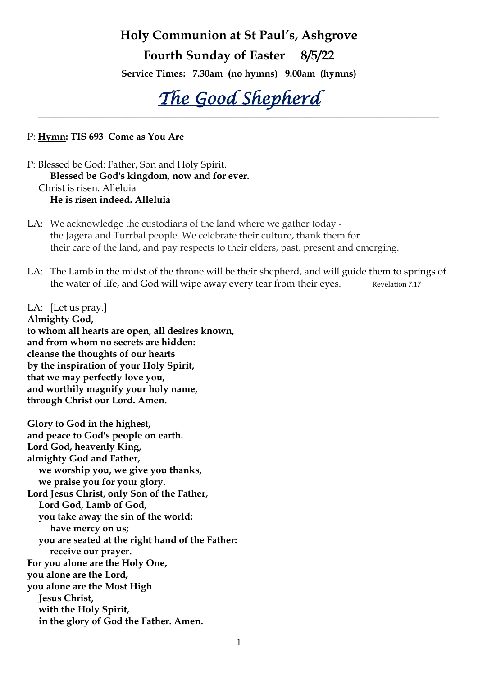# **Holy Communion at St Paul's, Ashgrove**

# **Fourth Sunday of Easter 8/5/22**

**Service Times: 7.30am (no hymns) 9.00am (hymns)**

*The Good Shepherd* **\_\_\_\_\_\_\_\_\_\_\_\_\_\_\_\_\_\_\_\_\_\_\_\_\_\_\_\_\_\_\_\_\_\_\_\_\_\_\_\_\_\_\_\_\_\_\_\_\_\_\_\_\_\_\_\_\_\_\_\_\_\_\_\_\_\_\_\_\_\_\_\_\_\_\_\_\_\_\_\_\_\_\_\_\_\_\_\_\_\_\_\_\_\_\_\_\_\_\_\_**

P: **Hymn: TIS 693 Come as You Are**

P: Blessed be God: Father, Son and Holy Spirit. **Blessed be God's kingdom, now and for ever.** Christ is risen. Alleluia **He is risen indeed. Alleluia**

- LA: We acknowledge the custodians of the land where we gather today the Jagera and Turrbal people. We celebrate their culture, thank them for their care of the land, and pay respects to their elders, past, present and emerging.
- LA: The Lamb in the midst of the throne will be their shepherd, and will guide them to springs of the water of life, and God will wipe away every tear from their eyes. Revelation 7.17

LA: [Let us pray.] **Almighty God, to whom all hearts are open, all desires known, and from whom no secrets are hidden: cleanse the thoughts of our hearts by the inspiration of your Holy Spirit, that we may perfectly love you, and worthily magnify your holy name, through Christ our Lord. Amen.** 

**Glory to God in the highest, and peace to God's people on earth. Lord God, heavenly King, almighty God and Father, we worship you, we give you thanks, we praise you for your glory. Lord Jesus Christ, only Son of the Father, Lord God, Lamb of God, you take away the sin of the world: have mercy on us; you are seated at the right hand of the Father: receive our prayer. For you alone are the Holy One, you alone are the Lord, you alone are the Most High Jesus Christ, with the Holy Spirit, in the glory of God the Father. Amen.**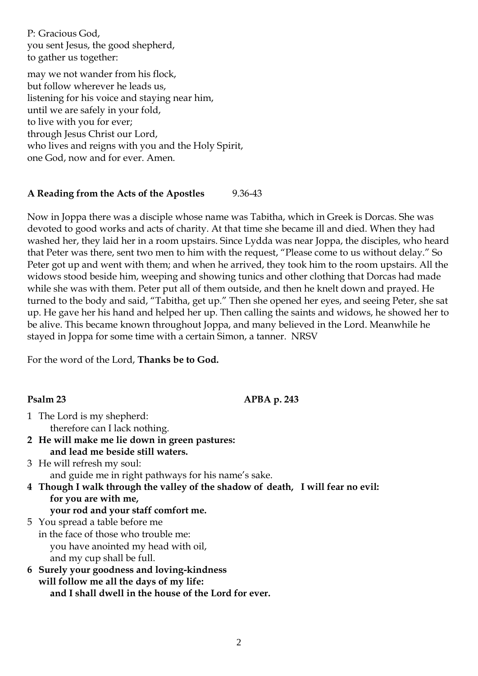P: Gracious God, you sent Jesus, the good shepherd, to gather us together:

may we not wander from his flock, but follow wherever he leads us, listening for his voice and staying near him, until we are safely in your fold, to live with you for ever; through Jesus Christ our Lord, who lives and reigns with you and the Holy Spirit, one God, now and for ever. Amen.

# **A Reading from the Acts of the Apostles** 9.36-43

Now in Joppa there was a disciple whose name was Tabitha, which in Greek is Dorcas. She was devoted to good works and acts of charity. At that time she became ill and died. When they had washed her, they laid her in a room upstairs. Since Lydda was near Joppa, the disciples, who heard that Peter was there, sent two men to him with the request, "Please come to us without delay." So Peter got up and went with them; and when he arrived, they took him to the room upstairs. All the widows stood beside him, weeping and showing tunics and other clothing that Dorcas had made while she was with them. Peter put all of them outside, and then he knelt down and prayed. He turned to the body and said, "Tabitha, get up." Then she opened her eyes, and seeing Peter, she sat up. He gave her his hand and helped her up. Then calling the saints and widows, he showed her to be alive. This became known throughout Joppa, and many believed in the Lord. Meanwhile he stayed in Joppa for some time with a certain Simon, a tanner. NRSV

For the word of the Lord, **Thanks be to God.**

#### **Psalm 23 APBA p. 243**

- 1 The Lord is my shepherd: therefore can I lack nothing.
- **2 He will make me lie down in green pastures: and lead me beside still waters.**
- 3 He will refresh my soul: and guide me in right pathways for his name's sake.
- **4 Though I walk through the valley of the shadow of death, I will fear no evil: for you are with me, your rod and your staff comfort me.**
- 5 You spread a table before me in the face of those who trouble me: you have anointed my head with oil, and my cup shall be full.
- **6 Surely your goodness and loving-kindness will follow me all the days of my life: and I shall dwell in the house of the Lord for ever.**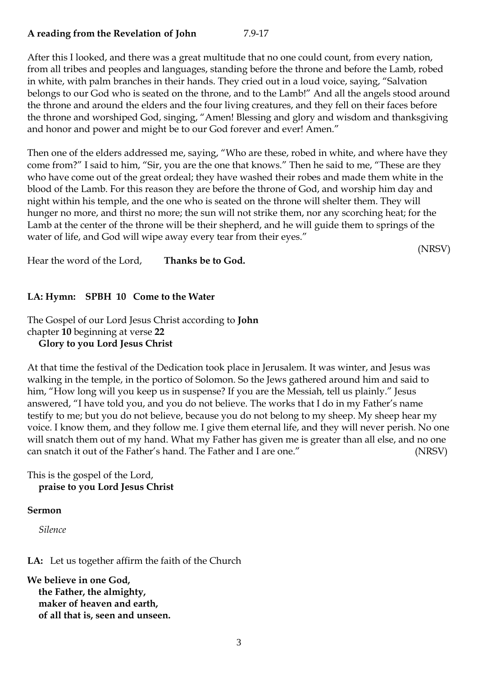# **A reading from the Revelation of John** 7.9-17

After this I looked, and there was a great multitude that no one could count, from every nation, from all tribes and peoples and languages, standing before the throne and before the Lamb, robed in white, with palm branches in their hands. They cried out in a loud voice, saying, "Salvation belongs to our God who is seated on the throne, and to the Lamb!" And all the angels stood around the throne and around the elders and the four living creatures, and they fell on their faces before the throne and worshiped God, singing, "Amen! Blessing and glory and wisdom and thanksgiving and honor and power and might be to our God forever and ever! Amen."

Then one of the elders addressed me, saying, "Who are these, robed in white, and where have they come from?" I said to him, "Sir, you are the one that knows." Then he said to me, "These are they who have come out of the great ordeal; they have washed their robes and made them white in the blood of the Lamb. For this reason they are before the throne of God, and worship him day and night within his temple, and the one who is seated on the throne will shelter them. They will hunger no more, and thirst no more; the sun will not strike them, nor any scorching heat; for the Lamb at the center of the throne will be their shepherd, and he will guide them to springs of the water of life, and God will wipe away every tear from their eyes."

(NRSV)

Hear the word of the Lord, **Thanks be to God.**

#### **LA: Hymn: SPBH 10 Come to the Water**

The Gospel of our Lord Jesus Christ according to **John** chapter **10** beginning at verse **22 Glory to you Lord Jesus Christ** 

At that time the festival of the Dedication took place in Jerusalem. It was winter, and Jesus was walking in the temple, in the portico of Solomon. So the Jews gathered around him and said to him, "How long will you keep us in suspense? If you are the Messiah, tell us plainly." Jesus answered, "I have told you, and you do not believe. The works that I do in my Father's name testify to me; but you do not believe, because you do not belong to my sheep. My sheep hear my voice. I know them, and they follow me. I give them eternal life, and they will never perish. No one will snatch them out of my hand. What my Father has given me is greater than all else, and no one can snatch it out of the Father's hand. The Father and I are one." (NRSV)

#### This is the gospel of the Lord, **praise to you Lord Jesus Christ**

#### **Sermon**

*Silence*

**LA:** Let us together affirm the faith of the Church

**We believe in one God, the Father, the almighty, maker of heaven and earth, of all that is, seen and unseen.**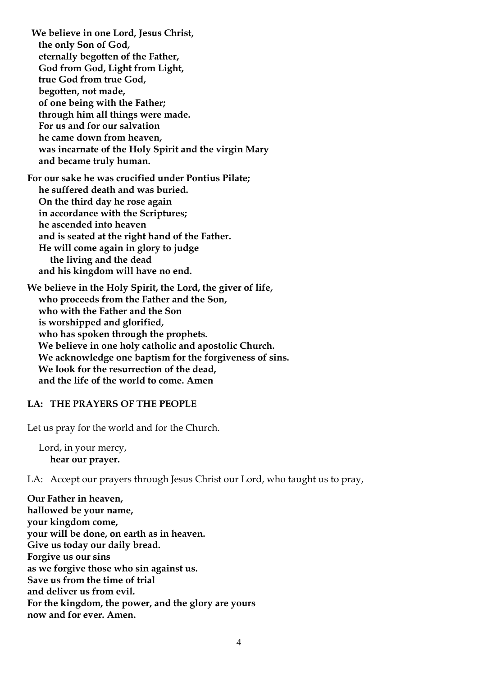**We believe in one Lord, Jesus Christ, the only Son of God, eternally begotten of the Father, God from God, Light from Light, true God from true God, begotten, not made, of one being with the Father; through him all things were made. For us and for our salvation he came down from heaven, was incarnate of the Holy Spirit and the virgin Mary and became truly human. For our sake he was crucified under Pontius Pilate; he suffered death and was buried. On the third day he rose again in accordance with the Scriptures; he ascended into heaven and is seated at the right hand of the Father. He will come again in glory to judge the living and the dead and his kingdom will have no end. We believe in the Holy Spirit, the Lord, the giver of life,**

**who proceeds from the Father and the Son, who with the Father and the Son is worshipped and glorified, who has spoken through the prophets. We believe in one holy catholic and apostolic Church. We acknowledge one baptism for the forgiveness of sins. We look for the resurrection of the dead, and the life of the world to come. Amen**

#### **LA: THE PRAYERS OF THE PEOPLE**

Let us pray for the world and for the Church.

Lord, in your mercy, **hear our prayer.**

LA: Accept our prayers through Jesus Christ our Lord, who taught us to pray,

**Our Father in heaven, hallowed be your name, your kingdom come, your will be done, on earth as in heaven. Give us today our daily bread. Forgive us our sins as we forgive those who sin against us. Save us from the time of trial and deliver us from evil. For the kingdom, the power, and the glory are yours now and for ever. Amen.**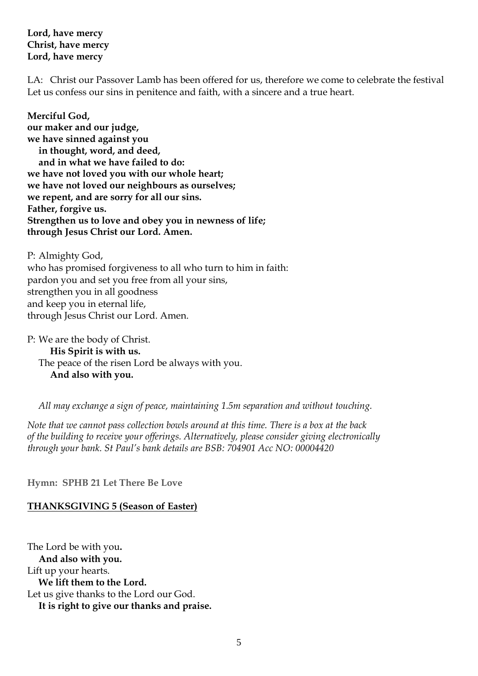### **Lord, have mercy Christ, have mercy Lord, have mercy**

LA: Christ our Passover Lamb has been offered for us, therefore we come to celebrate the festival Let us confess our sins in penitence and faith, with a sincere and a true heart.

**Merciful God, our maker and our judge, we have sinned against you in thought, word, and deed, and in what we have failed to do: we have not loved you with our whole heart; we have not loved our neighbours as ourselves; we repent, and are sorry for all our sins. Father, forgive us. Strengthen us to love and obey you in newness of life; through Jesus Christ our Lord. Amen.** 

P: Almighty God, who has promised forgiveness to all who turn to him in faith: pardon you and set you free from all your sins, strengthen you in all goodness and keep you in eternal life, through Jesus Christ our Lord. Amen.

P: We are the body of Christ. **His Spirit is with us.**  The peace of the risen Lord be always with you. **And also with you.** 

*All may exchange a sign of peace, maintaining 1.5m separation and without touching.*

*Note that we cannot pass collection bowls around at this time. There is a box at the back of the building to receive your offerings. Alternatively, please consider giving electronically through your bank. St Paul's bank details are BSB: 704901 Acc NO: 00004420*

**Hymn: SPHB 21 Let There Be Love** 

# **THANKSGIVING 5 (Season of Easter)**

The Lord be with you**. And also with you.** Lift up your hearts. **We lift them to the Lord.** Let us give thanks to the Lord our God. **It is right to give our thanks and praise.**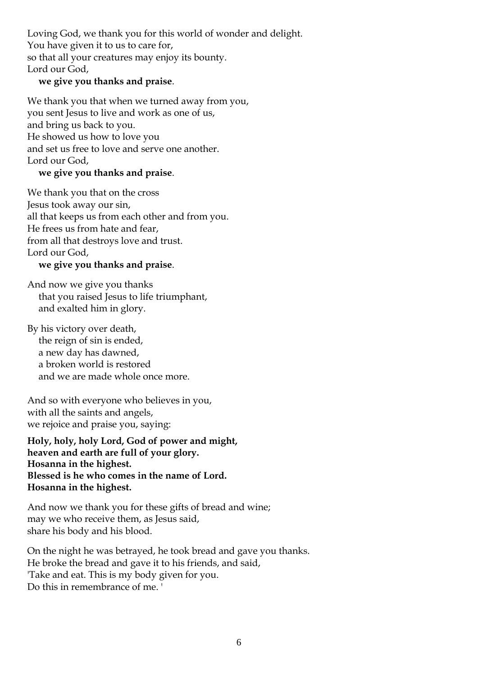Loving God, we thank you for this world of wonder and delight. You have given it to us to care for, so that all your creatures may enjoy its bounty. Lord our God,

# **we give you thanks and praise**.

We thank you that when we turned away from you, you sent Jesus to live and work as one of us, and bring us back to you. He showed us how to love you and set us free to love and serve one another. Lord our God,

# **we give you thanks and praise**.

We thank you that on the cross Jesus took away our sin, all that keeps us from each other and from you. He frees us from hate and fear, from all that destroys love and trust. Lord our God,

#### **we give you thanks and praise**.

And now we give you thanks that you raised Jesus to life triumphant, and exalted him in glory.

By his victory over death, the reign of sin is ended, a new day has dawned, a broken world is restored and we are made whole once more.

And so with everyone who believes in you, with all the saints and angels, we rejoice and praise you, saying:

**Holy, holy, holy Lord, God of power and might, heaven and earth are full of your glory. Hosanna in the highest. Blessed is he who comes in the name of Lord. Hosanna in the highest.**

And now we thank you for these gifts of bread and wine; may we who receive them, as Jesus said, share his body and his blood.

On the night he was betrayed, he took bread and gave you thanks. He broke the bread and gave it to his friends, and said, 'Take and eat. This is my body given for you. Do this in remembrance of me. '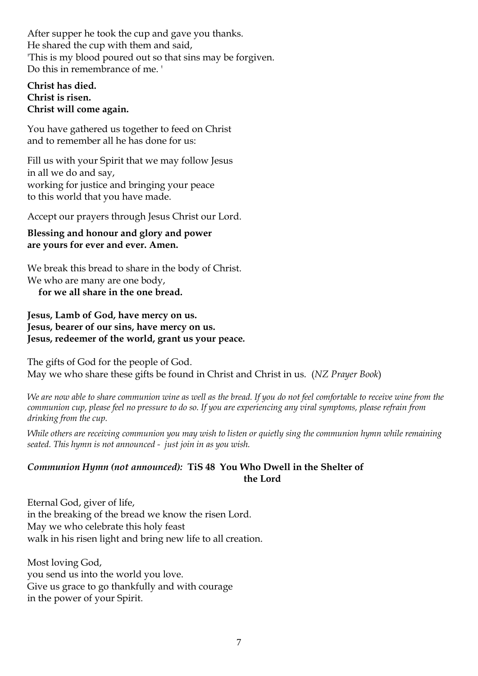After supper he took the cup and gave you thanks. He shared the cup with them and said, 'This is my blood poured out so that sins may be forgiven. Do this in remembrance of me. '

### **Christ has died. Christ is risen. Christ will come again.**

You have gathered us together to feed on Christ and to remember all he has done for us:

Fill us with your Spirit that we may follow Jesus in all we do and say, working for justice and bringing your peace to this world that you have made.

Accept our prayers through Jesus Christ our Lord.

# **Blessing and honour and glory and power are yours for ever and ever. Amen.**

We break this bread to share in the body of Christ. We who are many are one body,

**for we all share in the one bread.** 

# **Jesus, Lamb of God, have mercy on us. Jesus, bearer of our sins, have mercy on us. Jesus, redeemer of the world, grant us your peace***.*

The gifts of God for the people of God. May we who share these gifts be found in Christ and Christ in us. (*NZ Prayer Book*)

*We are now able to share communion wine as well as the bread. If you do not feel comfortable to receive wine from the communion cup, please feel no pressure to do so. If you are experiencing any viral symptoms, please refrain from drinking from the cup.* 

*While others are receiving communion you may wish to listen or quietly sing the communion hymn while remaining seated. This hymn is not announced - just join in as you wish.*

# *Communion Hymn (not announced):* **TiS 48 You Who Dwell in the Shelter of the Lord**

Eternal God, giver of life, in the breaking of the bread we know the risen Lord. May we who celebrate this holy feast walk in his risen light and bring new life to all creation.

Most loving God, you send us into the world you love. Give us grace to go thankfully and with courage in the power of your Spirit.